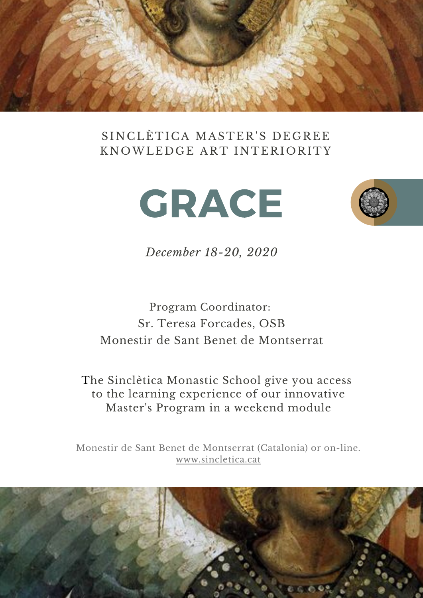

### SINCLÈTICA MASTER'S DEGREE KNOWLEDGE ART INTERIORITY





*December 18-20, 2020*

## Program Coordinator: Sr. Teresa Forcades, OSB Monestir de Sant Benet de Montserrat

The Sinclètica Monastic School give you access to the learning experience of our innovative Master's Program in a weekend module

Monestir de Sant Benet de Montserrat (Catalonia) or on-line. [www.sincletica.cat](https://www.sincletica.cat/)

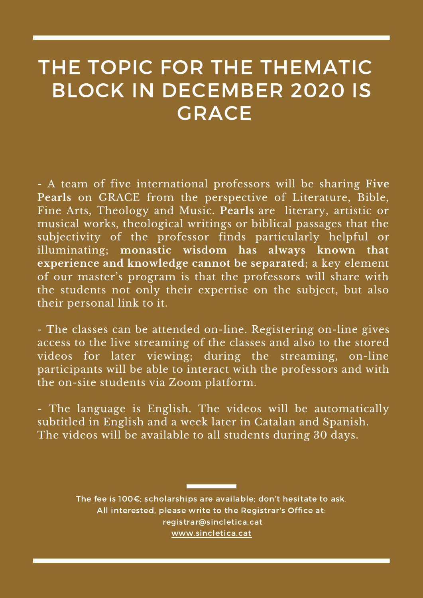## THE TOPIC FOR THE THEMATIC BLOCK IN DECEMBER 2020 IS **GRACE**

- A team of five international professors will be sharing **Five Pearls** on GRACE from the perspective of Literature, Bible, Fine Arts, Theology and Music. **Pearls** are literary, artistic or musical works, theological writings or biblical passages that the subjectivity of the professor finds particularly helpful or illuminating; **monastic wisdom has always known that experience and knowledge cannot be separated**; a key element of our master's program is that the professors will share with the students not only their expertise on the subject, but also their personal link to it.

- The classes can be attended on-line. Registering on-line gives access to the live streaming of the classes and also to the stored videos for later viewing; during the streaming, on-line participants will be able to interact with the professors and with the on-site students via Zoom platform.

- The language is English. The videos will be automatically subtitled in English and a week later in Catalan and Spanish. The videos will be available to all students during 30 days.

> The fee is 100€; scholarships are available; don't hesitate to ask. All interested, please write to the Registrar's Office at: [registrar@sincletica.cat](http://sincletica.cat/) [www.sincletica.cat](https://www.sincletica.cat/)